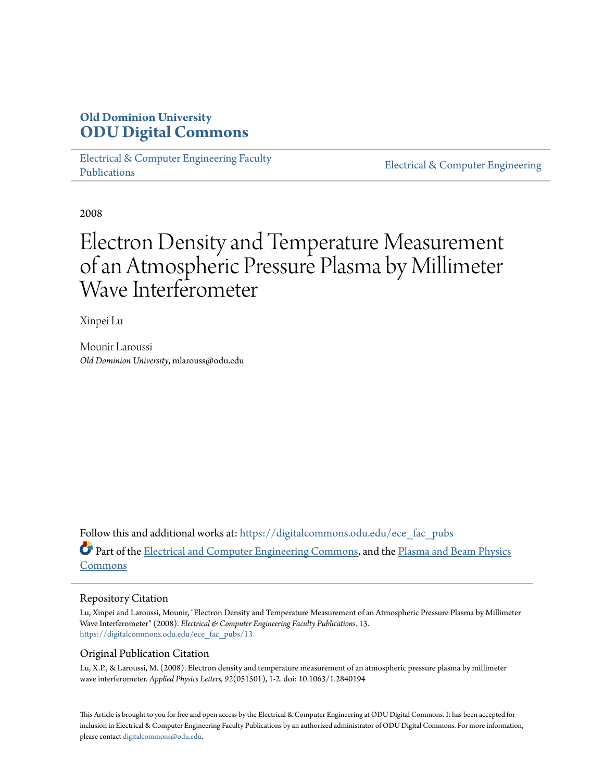## **Old Dominion University [ODU Digital Commons](https://digitalcommons.odu.edu?utm_source=digitalcommons.odu.edu%2Fece_fac_pubs%2F13&utm_medium=PDF&utm_campaign=PDFCoverPages)**

[Electrical & Computer Engineering Faculty](https://digitalcommons.odu.edu/ece_fac_pubs?utm_source=digitalcommons.odu.edu%2Fece_fac_pubs%2F13&utm_medium=PDF&utm_campaign=PDFCoverPages) [Publications](https://digitalcommons.odu.edu/ece_fac_pubs?utm_source=digitalcommons.odu.edu%2Fece_fac_pubs%2F13&utm_medium=PDF&utm_campaign=PDFCoverPages)

[Electrical & Computer Engineering](https://digitalcommons.odu.edu/ece?utm_source=digitalcommons.odu.edu%2Fece_fac_pubs%2F13&utm_medium=PDF&utm_campaign=PDFCoverPages)

2008

# Electron Density and Temperature Measurement of an Atmospheric Pressure Plasma by Millimeter Wave Interferometer

Xinpei Lu

Mounir Laroussi *Old Dominion University*, mlarouss@odu.edu

Follow this and additional works at: [https://digitalcommons.odu.edu/ece\\_fac\\_pubs](https://digitalcommons.odu.edu/ece_fac_pubs?utm_source=digitalcommons.odu.edu%2Fece_fac_pubs%2F13&utm_medium=PDF&utm_campaign=PDFCoverPages) Part of the [Electrical and Computer Engineering Commons](http://network.bepress.com/hgg/discipline/266?utm_source=digitalcommons.odu.edu%2Fece_fac_pubs%2F13&utm_medium=PDF&utm_campaign=PDFCoverPages), and the [Plasma and Beam Physics](http://network.bepress.com/hgg/discipline/205?utm_source=digitalcommons.odu.edu%2Fece_fac_pubs%2F13&utm_medium=PDF&utm_campaign=PDFCoverPages) [Commons](http://network.bepress.com/hgg/discipline/205?utm_source=digitalcommons.odu.edu%2Fece_fac_pubs%2F13&utm_medium=PDF&utm_campaign=PDFCoverPages)

#### Repository Citation

Lu, Xinpei and Laroussi, Mounir, "Electron Density and Temperature Measurement of an Atmospheric Pressure Plasma by Millimeter Wave Interferometer" (2008). *Electrical & Computer Engineering Faculty Publications*. 13. [https://digitalcommons.odu.edu/ece\\_fac\\_pubs/13](https://digitalcommons.odu.edu/ece_fac_pubs/13?utm_source=digitalcommons.odu.edu%2Fece_fac_pubs%2F13&utm_medium=PDF&utm_campaign=PDFCoverPages)

#### Original Publication Citation

Lu, X.P., & Laroussi, M. (2008). Electron density and temperature measurement of an atmospheric pressure plasma by millimeter wave interferometer. *Applied Physics Letters, 92*(051501), 1-2. doi: 10.1063/1.2840194

This Article is brought to you for free and open access by the Electrical & Computer Engineering at ODU Digital Commons. It has been accepted for inclusion in Electrical & Computer Engineering Faculty Publications by an authorized administrator of ODU Digital Commons. For more information, please contact [digitalcommons@odu.edu](mailto:digitalcommons@odu.edu).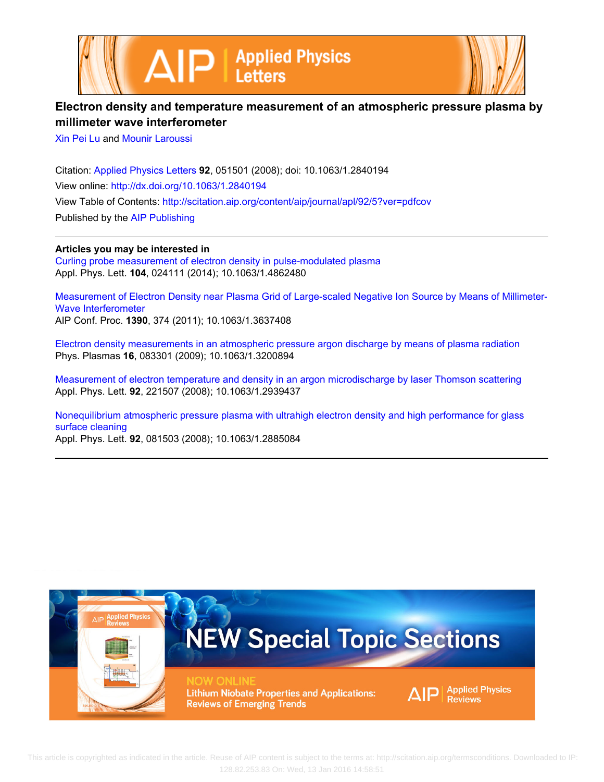



## **Electron density and temperature measurement of an atmospheric pressure plasma by millimeter wave interferometer**

[Xin Pei Lu](http://scitation.aip.org/search?value1=Xin+Pei+Lu&option1=author) and [Mounir Laroussi](http://scitation.aip.org/search?value1=Mounir+Laroussi&option1=author)

Citation: [Applied Physics Letters](http://scitation.aip.org/content/aip/journal/apl?ver=pdfcov) **92**, 051501 (2008); doi: 10.1063/1.2840194 View online: <http://dx.doi.org/10.1063/1.2840194> View Table of Contents: <http://scitation.aip.org/content/aip/journal/apl/92/5?ver=pdfcov> Published by the [AIP Publishing](http://scitation.aip.org/content/aip?ver=pdfcov)

**Articles you may be interested in**

[Curling probe measurement of electron density in pulse-modulated plasma](http://scitation.aip.org/content/aip/journal/apl/104/2/10.1063/1.4862480?ver=pdfcov) Appl. Phys. Lett. **104**, 024111 (2014); 10.1063/1.4862480

[Measurement of Electron Density near Plasma Grid of Large‐scaled Negative Ion Source by Means of Millimeter‐](http://scitation.aip.org/content/aip/proceeding/aipcp/10.1063/1.3637408?ver=pdfcov) [Wave Interferometer](http://scitation.aip.org/content/aip/proceeding/aipcp/10.1063/1.3637408?ver=pdfcov) AIP Conf. Proc. **1390**, 374 (2011); 10.1063/1.3637408

[Electron density measurements in an atmospheric pressure argon discharge by means of plasma radiation](http://scitation.aip.org/content/aip/journal/pop/16/8/10.1063/1.3200894?ver=pdfcov) Phys. Plasmas **16**, 083301 (2009); 10.1063/1.3200894

[Measurement of electron temperature and density in an argon microdischarge by laser Thomson scattering](http://scitation.aip.org/content/aip/journal/apl/92/22/10.1063/1.2939437?ver=pdfcov) Appl. Phys. Lett. **92**, 221507 (2008); 10.1063/1.2939437

[Nonequilibrium atmospheric pressure plasma with ultrahigh electron density and high performance for glass](http://scitation.aip.org/content/aip/journal/apl/92/8/10.1063/1.2885084?ver=pdfcov) [surface cleaning](http://scitation.aip.org/content/aip/journal/apl/92/8/10.1063/1.2885084?ver=pdfcov)

Appl. Phys. Lett. **92**, 081503 (2008); 10.1063/1.2885084

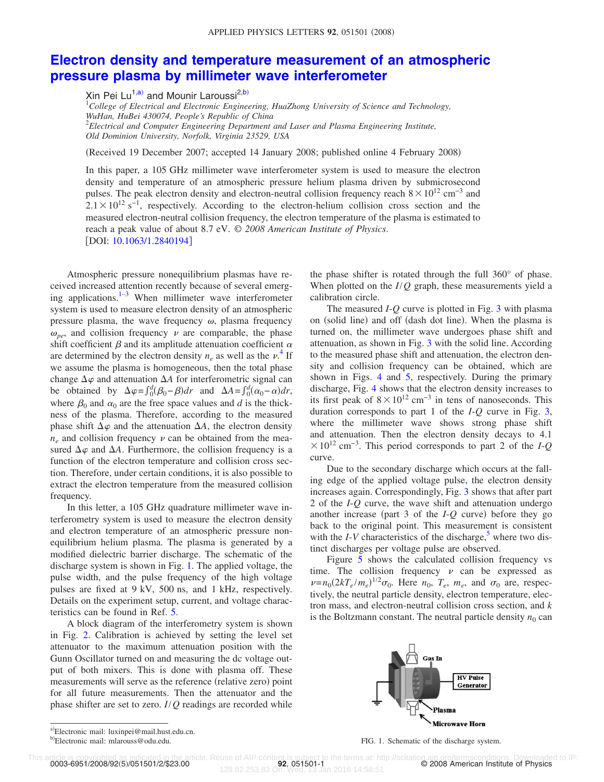### **[Electron density and temperature measurement of an atmospheric](http://dx.doi.org/10.1063/1.2840194) [pressure plasma by millimeter wave interferometer](http://dx.doi.org/10.1063/1.2840194)**

Xin Pei Lu<sup>1[,a](#page-2-0))</sup> and Mounir Laroussi<sup>2[,b](#page-2-1))</sup>

1 *College of Electrical and Electronic Engineering, HuaZhong University of Science and Technology, WuHan, HuBei 430074, People's Republic of China* 2 *Electrical and Computer Engineering Department and Laser and Plasma Engineering Institute,*

*Old Dominion University, Norfolk, Virginia 23529, USA*

(Received 19 December 2007; accepted 14 January 2008; published online 4 February 2008)

In this paper, a 105 GHz millimeter wave interferometer system is used to measure the electron density and temperature of an atmospheric pressure helium plasma driven by submicrosecond pulses. The peak electron density and electron-neutral collision frequency reach  $8 \times 10^{12}$  cm<sup>-3</sup> and  $2.1 \times 10^{12}$  s<sup>-1</sup>, respectively. According to the electron-helium collision cross section and the measured electron-neutral collision frequency, the electron temperature of the plasma is estimated to reach a peak value of about 8.7 eV. © *2008 American Institute of Physics*. [DOI: [10.1063/1.2840194](http://dx.doi.org/10.1063/1.2840194)]

Atmospheric pressure nonequilibrium plasmas have received increased attention recently because of several emerging applications. $1-3$  $1-3$  When millimeter wave interferometer system is used to measure electron density of an atmospheric pressure plasma, the wave frequency  $\omega$ , plasma frequency  $\omega_{pe}$ , and collision frequency  $\nu$  are comparable, the phase shift coefficient  $\beta$  and its amplitude attenuation coefficient  $\alpha$ are determined by the electron density  $n_e$  as well as the  $\nu$ <sup>[4](#page-3-2)</sup>. If we assume the plasma is homogeneous, then the total phase change  $\Delta \varphi$  and attenuation  $\Delta A$  for interferometric signal can be obtained by  $\Delta \varphi = \int_0^d (\beta_0 - \beta) dr$  and  $\Delta A = \int_0^d (\alpha_0 - \alpha) dr$ , where  $\beta_0$  and  $\alpha_0$  are the free space values and *d* is the thickness of the plasma. Therefore, according to the measured phase shift  $\Delta \varphi$  and the attenuation  $\Delta A$ , the electron density  $n_e$  and collision frequency  $\nu$  can be obtained from the measured  $\Delta\varphi$  and  $\Delta A$ . Furthermore, the collision frequency is a function of the electron temperature and collision cross section. Therefore, under certain conditions, it is also possible to extract the electron temperature from the measured collision frequency.

In this letter, a 105 GHz quadrature millimeter wave interferometry system is used to measure the electron density and electron temperature of an atmospheric pressure nonequilibrium helium plasma. The plasma is generated by a modified dielectric barrier discharge. The schematic of the discharge system is shown in Fig. [1.](#page-2-2) The applied voltage, the pulse width, and the pulse frequency of the high voltage pulses are fixed at 9 kV, 500 ns, and 1 kHz, respectively. Details on the experiment setup, current, and voltage characteristics can be found in Ref. [5.](#page-3-3)

A block diagram of the interferometry system is shown in Fig. [2.](#page-3-4) Calibration is achieved by setting the level set attenuator to the maximum attenuation position with the Gunn Oscillator turned on and measuring the dc voltage output of both mixers. This is done with plasma off. These measurements will serve as the reference (relative zero) point for all future measurements. Then the attenuator and the phase shifter are set to zero. *I*/*Q* readings are recorded while the phase shifter is rotated through the full 360° of phase. When plotted on the *I*/*Q* graph, these measurements yield a calibration circle.

The measured *I*-*Q* curve is plotted in Fig. [3](#page-3-5) with plasma on (solid line) and off (dash dot line). When the plasma is turned on, the millimeter wave undergoes phase shift and attenuation, as shown in Fig. [3](#page-3-5) with the solid line. According to the measured phase shift and attenuation, the electron density and collision frequency can be obtained, which are shown in Figs. [4](#page-3-6) and [5,](#page-3-7) respectively. During the primary discharge, Fig. [4](#page-3-6) shows that the electron density increases to its first peak of  $8 \times 10^{12}$  cm<sup>-3</sup> in tens of nanoseconds. This duration corresponds to part 1 of the *I*-*Q* curve in Fig. [3,](#page-3-5) where the millimeter wave shows strong phase shift and attenuation. Then the electron density decays to 4.1  $\times$  10<sup>12</sup> cm<sup>-3</sup>. This period corresponds to part 2 of the *I*-*Q* curve.

Due to the secondary discharge which occurs at the falling edge of the applied voltage pulse, the electron density increases again. Correspondingly, Fig. [3](#page-3-5) shows that after part 2 of the *I*-*Q* curve, the wave shift and attenuation undergo another increase (part 3 of the *I*-*Q* curve) before they go back to the original point. This measurement is consistent with the  $I-V$  characteristics of the discharge,<sup>5</sup> where two distinct discharges per voltage pulse are observed.

<span id="page-2-2"></span>Figure [5](#page-3-7) shows the calculated collision frequency vs time. The collision frequency  $\nu$  can be expressed as  $\nu = n_0(2kT_e/m_e)^{1/2}\sigma_0$ . Here  $n_0$ ,  $T_e$ ,  $m_e$ , and  $\sigma_0$  are, respectively, the neutral particle density, electron temperature, electron mass, and electron-neutral collision cross section, and *k* is the Boltzmann constant. The neutral particle density  $n_0$  can



FIG. 1. Schematic of the discharge system.

This article is copyrighted as indicated in the article. Reuse of AIP content is subject to the terms at: http://scitation aip org/termsconditions. Downloaded to IP:<br>0003-6951/2008/92(5)/051501/2/\$23.00<br>128.82.253.83 On: W

<span id="page-2-1"></span><span id="page-2-0"></span>b)

<sup>0003-6951/2008/92(5)/051501/2/\$23.00</sup>